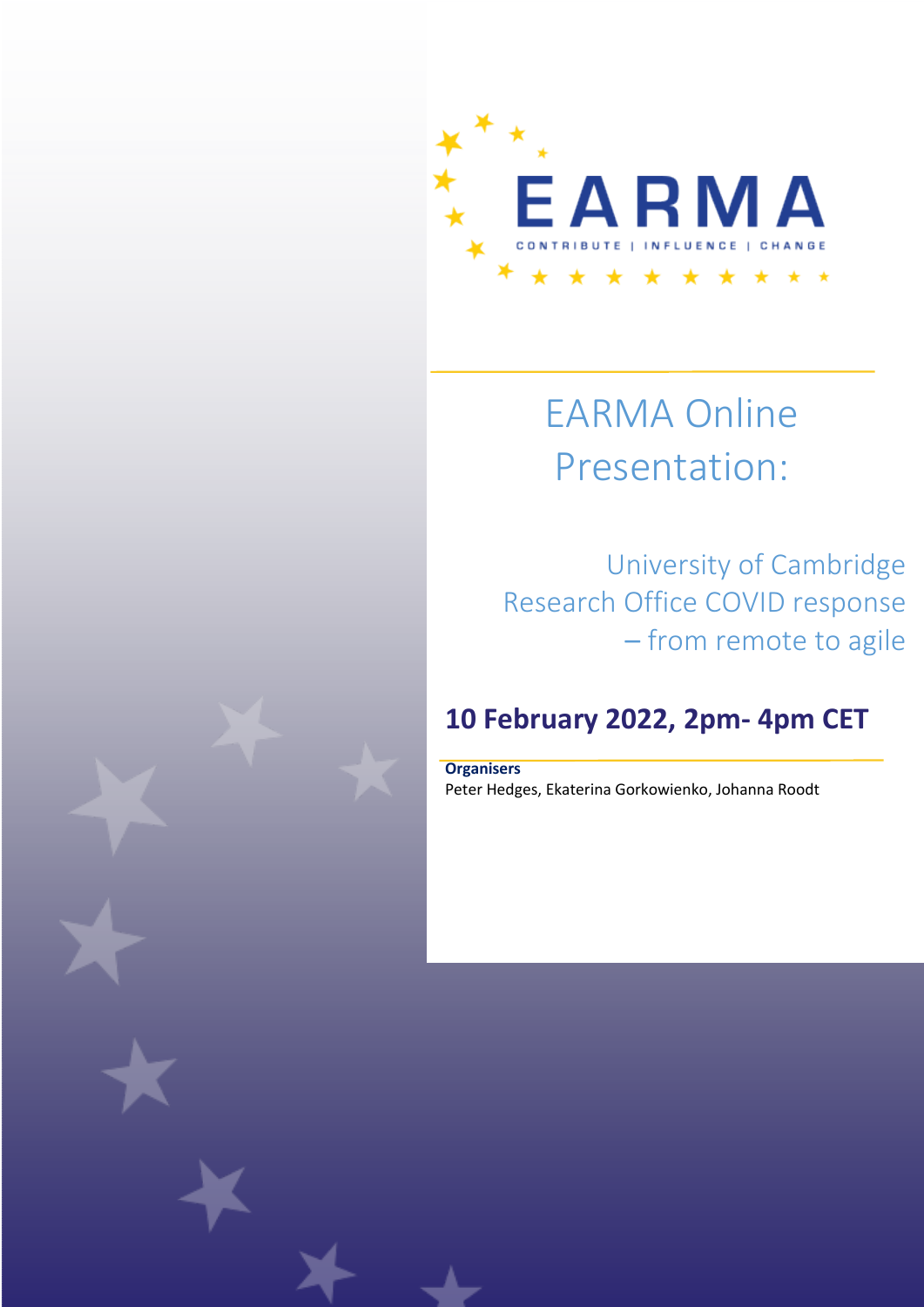

# EARMA Online Presentation:

 University of Cambridge Research Office COVID response – from remote to agile

# **10 February 2022, 2pm- 4pm CET**

**Organisers** Peter Hedges, Ekaterina Gorkowienko, Johanna Roodt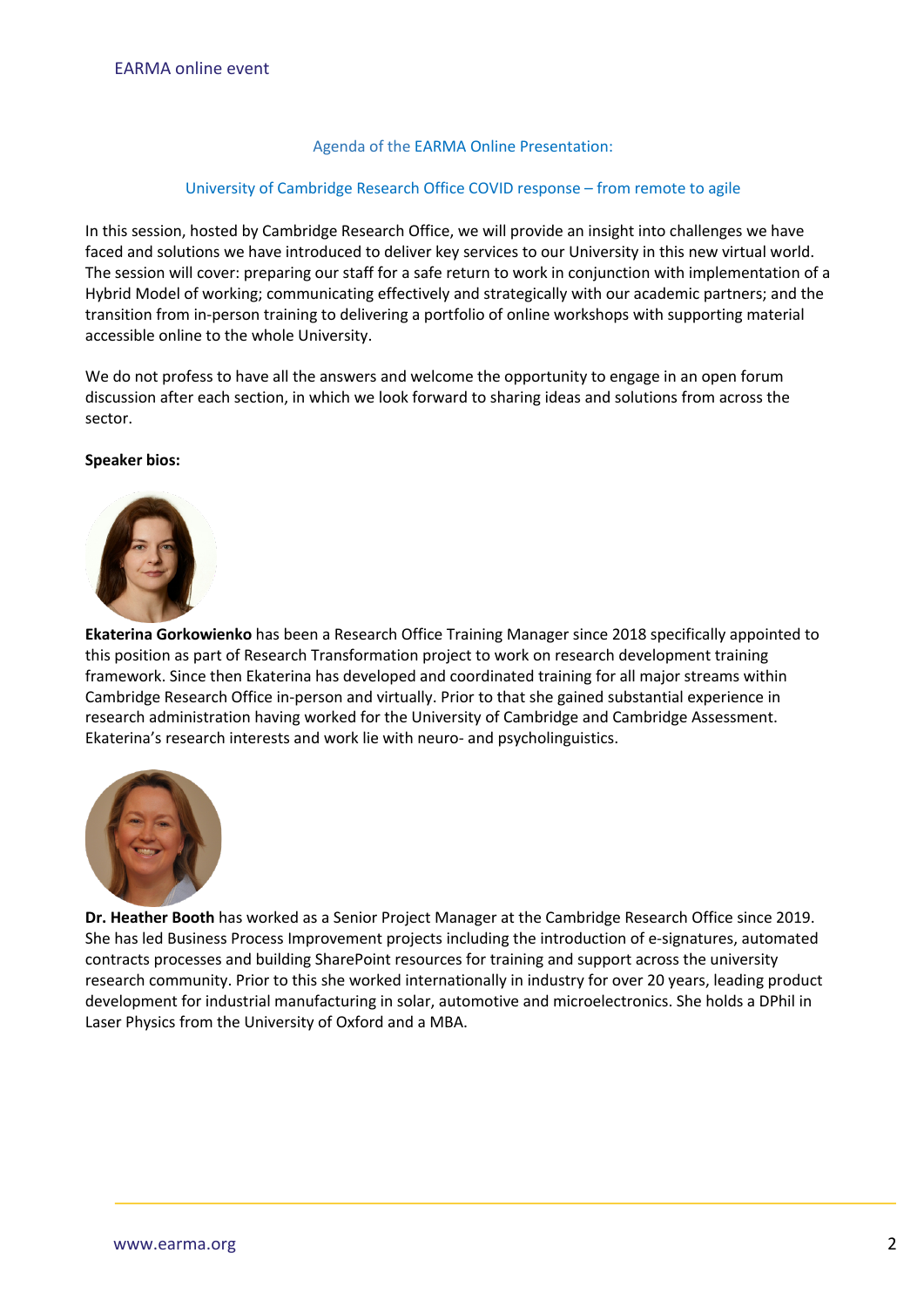#### Agenda of the EARMA Online Presentation:

#### University of Cambridge Research Office COVID response – from remote to agile

In this session, hosted by Cambridge Research Office, we will provide an insight into challenges we have faced and solutions we have introduced to deliver key services to our University in this new virtual world. The session will cover: preparing our staff for a safe return to work in conjunction with implementation of a Hybrid Model of working; communicating effectively and strategically with our academic partners; and the transition from in-person training to delivering a portfolio of online workshops with supporting material accessible online to the whole University.

We do not profess to have all the answers and welcome the opportunity to engage in an open forum discussion after each section, in which we look forward to sharing ideas and solutions from across the sector.

#### **Speaker bios:**



**Ekaterina Gorkowienko** has been a Research Office Training Manager since 2018 specifically appointed to this position as part of Research Transformation project to work on research development training framework. Since then Ekaterina has developed and coordinated training for all major streams within Cambridge Research Office in-person and virtually. Prior to that she gained substantial experience in research administration having worked for the University of Cambridge and Cambridge Assessment. Ekaterina's research interests and work lie with neuro- and psycholinguistics.



**Dr. Heather Booth** has worked as a Senior Project Manager at the Cambridge Research Office since 2019. She has led Business Process Improvement projects including the introduction of e-signatures, automated contracts processes and building SharePoint resources for training and support across the university research community. Prior to this she worked internationally in industry for over 20 years, leading product development for industrial manufacturing in solar, automotive and microelectronics. She holds a DPhil in Laser Physics from the University of Oxford and a MBA.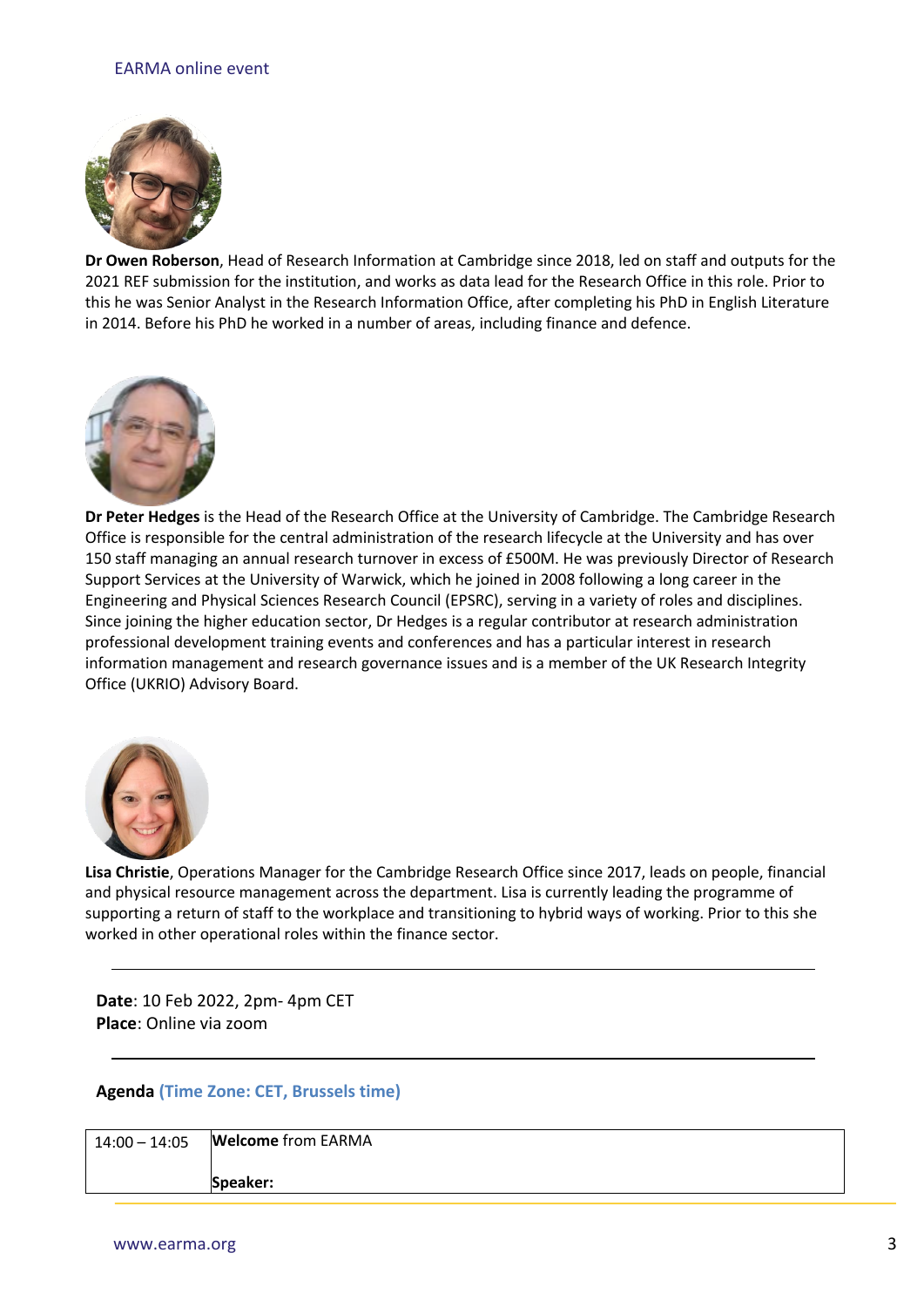### EARMA online event



**Dr Owen Roberson**, Head of Research Information at Cambridge since 2018, led on staff and outputs for the 2021 REF submission for the institution, and works as data lead for the Research Office in this role. Prior to this he was Senior Analyst in the Research Information Office, after completing his PhD in English Literature in 2014. Before his PhD he worked in a number of areas, including finance and defence.



**Dr Peter Hedges** is the Head of the Research Office at the University of Cambridge. The Cambridge Research Office is responsible for the central administration of the research lifecycle at the University and has over 150 staff managing an annual research turnover in excess of £500M. He was previously Director of Research Support Services at the University of Warwick, which he joined in 2008 following a long career in the Engineering and Physical Sciences Research Council (EPSRC), serving in a variety of roles and disciplines. Since joining the higher education sector, Dr Hedges is a regular contributor at research administration professional development training events and conferences and has a particular interest in research information management and research governance issues and is a member of the UK Research Integrity Office (UKRIO) Advisory Board.



**Lisa Christie**, Operations Manager for the Cambridge Research Office since 2017, leads on people, financial and physical resource management across the department. Lisa is currently leading the programme of supporting a return of staff to the workplace and transitioning to hybrid ways of working. Prior to this she worked in other operational roles within the finance sector.

**Date**: 10 Feb 2022, 2pm- 4pm CET **Place**: Online via zoom

#### **Agenda (Time Zone: CET, Brussels time)**

| 14:00 - 14:05 <b>Welcome</b> from EARMA |
|-----------------------------------------|
| Speaker:                                |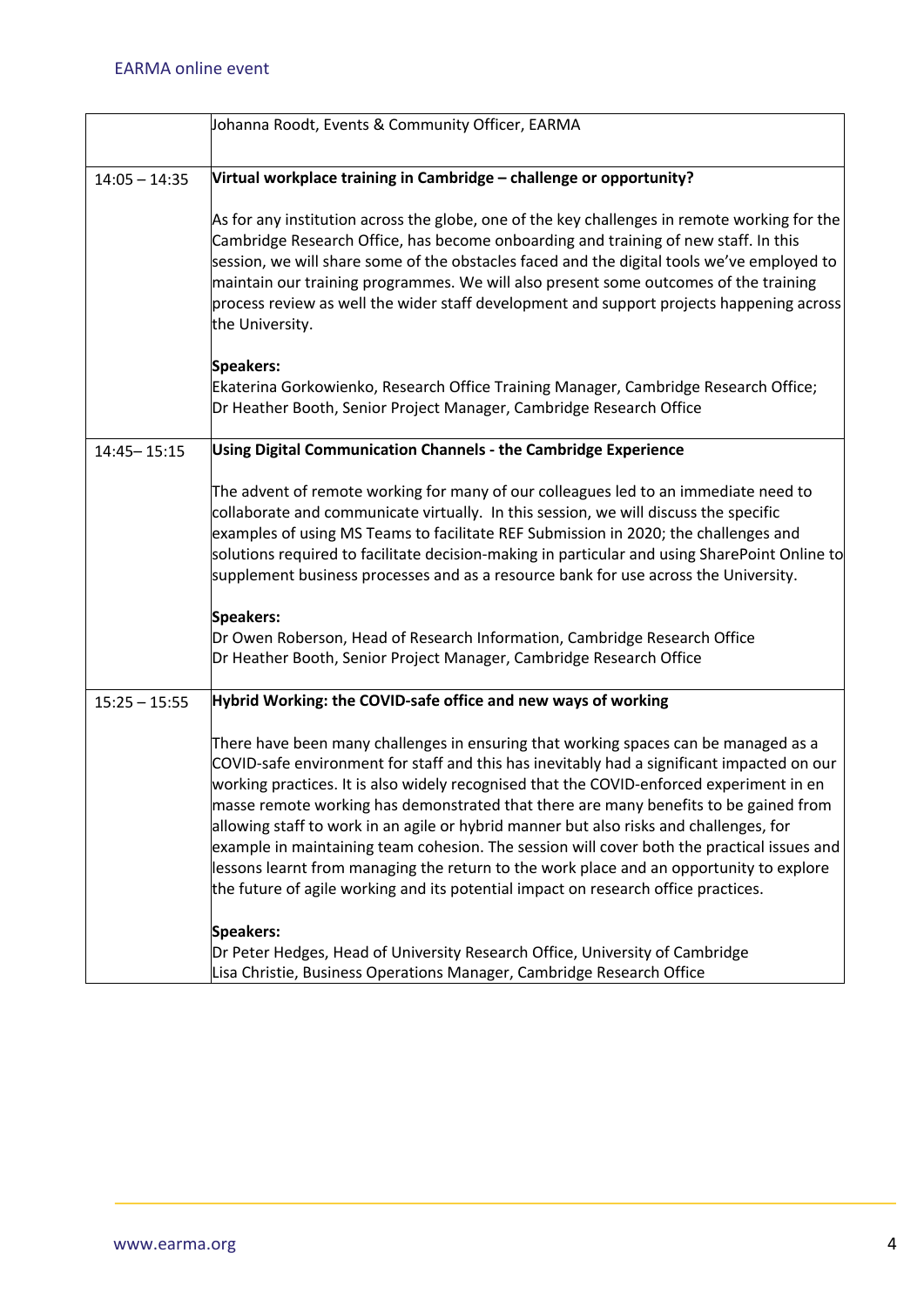|                 | Johanna Roodt, Events & Community Officer, EARMA                                                                                                                                                                                                                                                                                                                                                                                                                                                                                                                                                                                                                                                                                              |
|-----------------|-----------------------------------------------------------------------------------------------------------------------------------------------------------------------------------------------------------------------------------------------------------------------------------------------------------------------------------------------------------------------------------------------------------------------------------------------------------------------------------------------------------------------------------------------------------------------------------------------------------------------------------------------------------------------------------------------------------------------------------------------|
| $14:05 - 14:35$ | Virtual workplace training in Cambridge - challenge or opportunity?                                                                                                                                                                                                                                                                                                                                                                                                                                                                                                                                                                                                                                                                           |
|                 | As for any institution across the globe, one of the key challenges in remote working for the<br>Cambridge Research Office, has become onboarding and training of new staff. In this<br>session, we will share some of the obstacles faced and the digital tools we've employed to<br>maintain our training programmes. We will also present some outcomes of the training<br>process review as well the wider staff development and support projects happening across<br>the University.                                                                                                                                                                                                                                                      |
|                 | <b>Speakers:</b><br>Ekaterina Gorkowienko, Research Office Training Manager, Cambridge Research Office;<br>Dr Heather Booth, Senior Project Manager, Cambridge Research Office                                                                                                                                                                                                                                                                                                                                                                                                                                                                                                                                                                |
| $14:45 - 15:15$ | Using Digital Communication Channels - the Cambridge Experience                                                                                                                                                                                                                                                                                                                                                                                                                                                                                                                                                                                                                                                                               |
|                 | The advent of remote working for many of our colleagues led to an immediate need to<br>collaborate and communicate virtually. In this session, we will discuss the specific<br>examples of using MS Teams to facilitate REF Submission in 2020; the challenges and<br>solutions required to facilitate decision-making in particular and using SharePoint Online to<br>supplement business processes and as a resource bank for use across the University.                                                                                                                                                                                                                                                                                    |
|                 | <b>Speakers:</b><br>Dr Owen Roberson, Head of Research Information, Cambridge Research Office<br>Dr Heather Booth, Senior Project Manager, Cambridge Research Office                                                                                                                                                                                                                                                                                                                                                                                                                                                                                                                                                                          |
| $15:25 - 15:55$ | Hybrid Working: the COVID-safe office and new ways of working                                                                                                                                                                                                                                                                                                                                                                                                                                                                                                                                                                                                                                                                                 |
|                 | There have been many challenges in ensuring that working spaces can be managed as a<br>COVID-safe environment for staff and this has inevitably had a significant impacted on our<br>working practices. It is also widely recognised that the COVID-enforced experiment in en<br>masse remote working has demonstrated that there are many benefits to be gained from<br>allowing staff to work in an agile or hybrid manner but also risks and challenges, for<br>example in maintaining team cohesion. The session will cover both the practical issues and<br>essons learnt from managing the return to the work place and an opportunity to explore<br>the future of agile working and its potential impact on research office practices. |
|                 | <b>Speakers:</b><br>Dr Peter Hedges, Head of University Research Office, University of Cambridge<br>Lisa Christie, Business Operations Manager, Cambridge Research Office                                                                                                                                                                                                                                                                                                                                                                                                                                                                                                                                                                     |